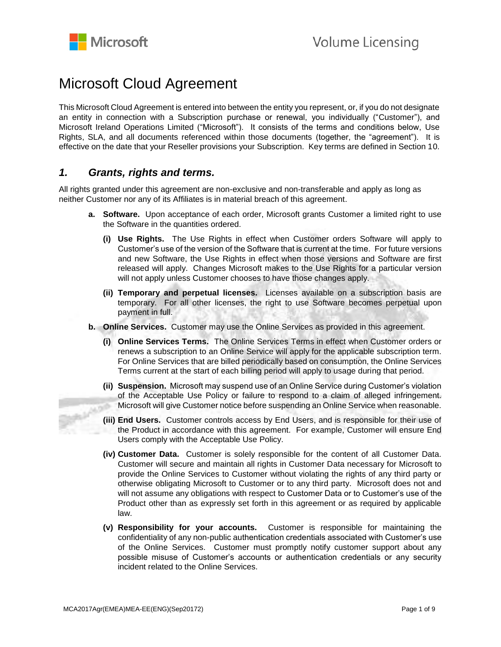

# Microsoft Cloud Agreement

This Microsoft Cloud Agreement is entered into between the entity you represent, or, if you do not designate an entity in connection with a Subscription purchase or renewal, you individually ("Customer"), and Microsoft Ireland Operations Limited ("Microsoft"). It consists of the terms and conditions below, Use Rights, SLA, and all documents referenced within those documents (together, the "agreement"). It is effective on the date that your Reseller provisions your Subscription. Key terms are defined in Section 10.

## *1. Grants, rights and terms.*

All rights granted under this agreement are non-exclusive and non-transferable and apply as long as neither Customer nor any of its Affiliates is in material breach of this agreement.

- **a. Software.** Upon acceptance of each order, Microsoft grants Customer a limited right to use the Software in the quantities ordered.
	- **(i) Use Rights.** The Use Rights in effect when Customer orders Software will apply to Customer's use of the version of the Software that is current at the time. For future versions and new Software, the Use Rights in effect when those versions and Software are first released will apply. Changes Microsoft makes to the Use Rights for a particular version will not apply unless Customer chooses to have those changes apply.
	- **(ii) Temporary and perpetual licenses.** Licenses available on a subscription basis are temporary. For all other licenses, the right to use Software becomes perpetual upon payment in full.
- **b. Online Services.** Customer may use the Online Services as provided in this agreement.
	- **(i) Online Services Terms.** The Online Services Terms in effect when Customer orders or renews a subscription to an Online Service will apply for the applicable subscription term. For Online Services that are billed periodically based on consumption, the Online Services Terms current at the start of each billing period will apply to usage during that period.
- **(ii) Suspension.** Microsoft may suspend use of an Online Service during Customer's violation of the Acceptable Use Policy or failure to respond to a claim of alleged infringement. Microsoft will give Customer notice before suspending an Online Service when reasonable.  $-20$ 
	- **(iii) End Users.** Customer controls access by End Users, and is responsible for their use of the Product in accordance with this agreement. For example, Customer will ensure End Users comply with the Acceptable Use Policy.
	- **(iv) Customer Data.** Customer is solely responsible for the content of all Customer Data. Customer will secure and maintain all rights in Customer Data necessary for Microsoft to provide the Online Services to Customer without violating the rights of any third party or otherwise obligating Microsoft to Customer or to any third party. Microsoft does not and will not assume any obligations with respect to Customer Data or to Customer's use of the Product other than as expressly set forth in this agreement or as required by applicable law.
	- **(v) Responsibility for your accounts.** Customer is responsible for maintaining the confidentiality of any non-public authentication credentials associated with Customer's use of the Online Services. Customer must promptly notify customer support about any possible misuse of Customer's accounts or authentication credentials or any security incident related to the Online Services.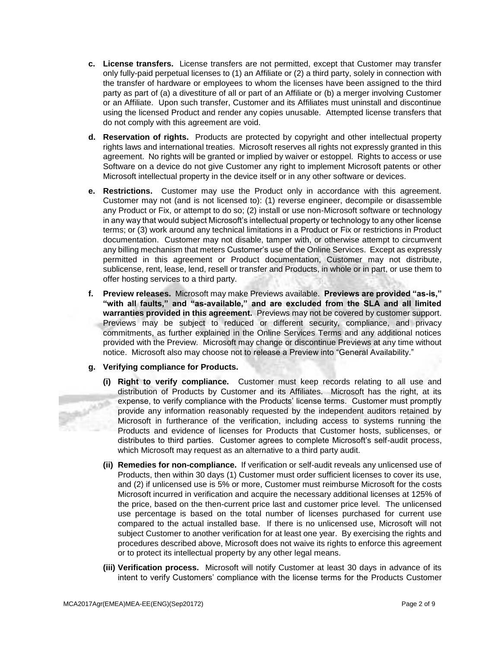- **c. License transfers.** License transfers are not permitted, except that Customer may transfer only fully-paid perpetual licenses to (1) an Affiliate or (2) a third party, solely in connection with the transfer of hardware or employees to whom the licenses have been assigned to the third party as part of (a) a divestiture of all or part of an Affiliate or (b) a merger involving Customer or an Affiliate. Upon such transfer, Customer and its Affiliates must uninstall and discontinue using the licensed Product and render any copies unusable. Attempted license transfers that do not comply with this agreement are void.
- **d. Reservation of rights.** Products are protected by copyright and other intellectual property rights laws and international treaties. Microsoft reserves all rights not expressly granted in this agreement. No rights will be granted or implied by waiver or estoppel. Rights to access or use Software on a device do not give Customer any right to implement Microsoft patents or other Microsoft intellectual property in the device itself or in any other software or devices.
- **e. Restrictions.** Customer may use the Product only in accordance with this agreement. Customer may not (and is not licensed to): (1) reverse engineer, decompile or disassemble any Product or Fix, or attempt to do so; (2) install or use non-Microsoft software or technology in any way that would subject Microsoft's intellectual property or technology to any other license terms; or (3) work around any technical limitations in a Product or Fix or restrictions in Product documentation. Customer may not disable, tamper with, or otherwise attempt to circumvent any billing mechanism that meters Customer's use of the Online Services. Except as expressly permitted in this agreement or Product documentation, Customer may not distribute, sublicense, rent, lease, lend, resell or transfer and Products, in whole or in part, or use them to offer hosting services to a third party.
- **f. Preview releases.** Microsoft may make Previews available. **Previews are provided "as-is," "with all faults," and "as-available," and are excluded from the SLA and all limited warranties provided in this agreement.** Previews may not be covered by customer support. Previews may be subject to reduced or different security, compliance, and privacy commitments, as further explained in the Online Services Terms and any additional notices provided with the Preview. Microsoft may change or discontinue Previews at any time without notice. Microsoft also may choose not to release a Preview into "General Availability."

### **g. Verifying compliance for Products.**

- **(i) Right to verify compliance.** Customer must keep records relating to all use and distribution of Products by Customer and its Affiliates. Microsoft has the right, at its expense, to verify compliance with the Products' license terms. Customer must promptly provide any information reasonably requested by the independent auditors retained by Microsoft in furtherance of the verification, including access to systems running the Products and evidence of licenses for Products that Customer hosts, sublicenses, or distributes to third parties. Customer agrees to complete Microsoft's self-audit process, which Microsoft may request as an alternative to a third party audit.
- **(ii) Remedies for non-compliance.** If verification or self-audit reveals any unlicensed use of Products, then within 30 days (1) Customer must order sufficient licenses to cover its use, and (2) if unlicensed use is 5% or more, Customer must reimburse Microsoft for the costs Microsoft incurred in verification and acquire the necessary additional licenses at 125% of the price, based on the then-current price last and customer price level. The unlicensed use percentage is based on the total number of licenses purchased for current use compared to the actual installed base. If there is no unlicensed use, Microsoft will not subject Customer to another verification for at least one year. By exercising the rights and procedures described above, Microsoft does not waive its rights to enforce this agreement or to protect its intellectual property by any other legal means.
- **(iii) Verification process.** Microsoft will notify Customer at least 30 days in advance of its intent to verify Customers' compliance with the license terms for the Products Customer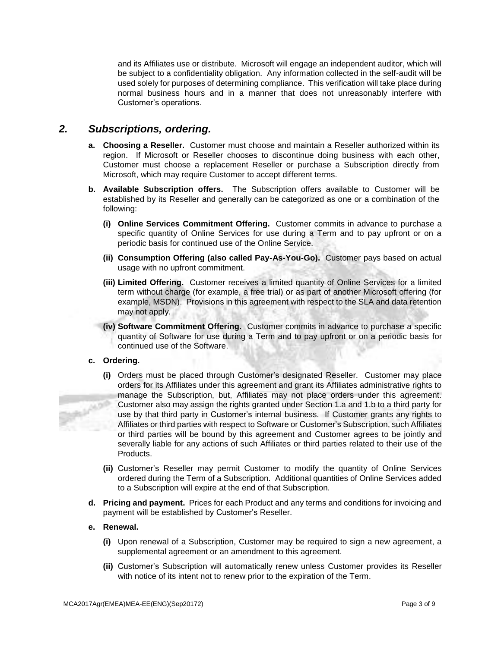and its Affiliates use or distribute. Microsoft will engage an independent auditor, which will be subject to a confidentiality obligation. Any information collected in the self-audit will be used solely for purposes of determining compliance. This verification will take place during normal business hours and in a manner that does not unreasonably interfere with Customer's operations.

# *2. Subscriptions, ordering.*

- **a. Choosing a Reseller.** Customer must choose and maintain a Reseller authorized within its region. If Microsoft or Reseller chooses to discontinue doing business with each other, Customer must choose a replacement Reseller or purchase a Subscription directly from Microsoft, which may require Customer to accept different terms.
- **b. Available Subscription offers.** The Subscription offers available to Customer will be established by its Reseller and generally can be categorized as one or a combination of the following:
	- **(i) Online Services Commitment Offering.** Customer commits in advance to purchase a specific quantity of Online Services for use during a Term and to pay upfront or on a periodic basis for continued use of the Online Service.
	- **(ii) Consumption Offering (also called Pay-As-You-Go).** Customer pays based on actual usage with no upfront commitment.
	- **(iii) Limited Offering.** Customer receives a limited quantity of Online Services for a limited term without charge (for example, a free trial) or as part of another Microsoft offering (for example, MSDN). Provisions in this agreement with respect to the SLA and data retention may not apply.
	- **(iv) Software Commitment Offering.** Customer commits in advance to purchase a specific quantity of Software for use during a Term and to pay upfront or on a periodic basis for continued use of the Software.

### **c. Ordering.**

- **(i)** Orders must be placed through Customer's designated Reseller. Customer may place orders for its Affiliates under this agreement and grant its Affiliates administrative rights to manage the Subscription, but, Affiliates may not place orders under this agreement. Customer also may assign the rights granted under Section 1.a and 1.b to a third party for use by that third party in Customer's internal business. If Customer grants any rights to Affiliates or third parties with respect to Software or Customer's Subscription, such Affiliates or third parties will be bound by this agreement and Customer agrees to be jointly and severally liable for any actions of such Affiliates or third parties related to their use of the Products.
- **(ii)** Customer's Reseller may permit Customer to modify the quantity of Online Services ordered during the Term of a Subscription. Additional quantities of Online Services added to a Subscription will expire at the end of that Subscription.
- **d. Pricing and payment.** Prices for each Product and any terms and conditions for invoicing and payment will be established by Customer's Reseller.

### **e. Renewal.**

- **(i)** Upon renewal of a Subscription, Customer may be required to sign a new agreement, a supplemental agreement or an amendment to this agreement.
- **(ii)** Customer's Subscription will automatically renew unless Customer provides its Reseller with notice of its intent not to renew prior to the expiration of the Term.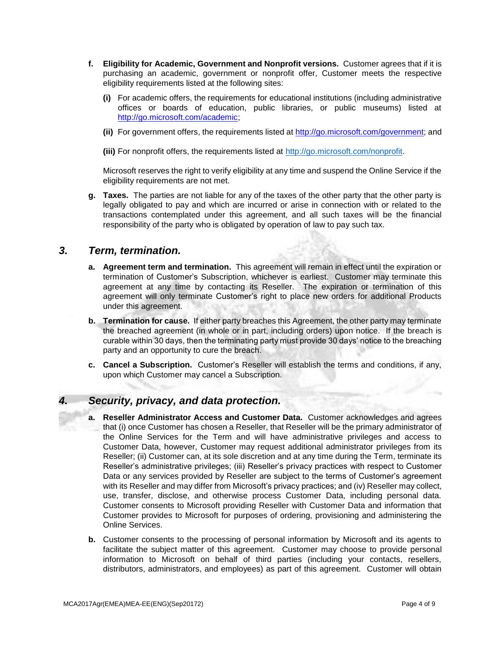- **f. Eligibility for Academic, Government and Nonprofit versions.** Customer agrees that if it is purchasing an academic, government or nonprofit offer, Customer meets the respective eligibility requirements listed at the following sites:
	- **(i)** For academic offers, the requirements for educational institutions (including administrative offices or boards of education, public libraries, or public museums) listed at [http://go.microsoft.com/academic;](http://www.microsoftvolumelicensing.com/DocumentSearch.aspx?Mode=3&DocumentTypeID=7)
	- **(ii)** For government offers, the requirements listed at [http://go.microsoft.com/government;](http://www.microsoftvolumelicensing.com/DocumentSearch.aspx?Mode=3&DocumentTypeID=6) and

**(iii)** For nonprofit offers, the requirements listed at [http://go.microsoft.com/nonprofit](http://www.microsoft.com/about/corporatecitizenship/en-us/nonprofits/whos-eligible/)[.](http://www.microsoftvolumelicensing.com/userights/DocumentSearch.aspx?Mode=3&DocumentTypeId=19) 

Microsoft reserves the right to verify eligibility at any time and suspend the Online Service if the eligibility requirements are not met.

**g. Taxes.** The parties are not liable for any of the taxes of the other party that the other party is legally obligated to pay and which are incurred or arise in connection with or related to the transactions contemplated under this agreement, and all such taxes will be the financial responsibility of the party who is obligated by operation of law to pay such tax.

## *3. Term, termination.*

- **a. Agreement term and termination.** This agreement will remain in effect until the expiration or termination of Customer's Subscription, whichever is earliest. Customer may terminate this agreement at any time by contacting its Reseller. The expiration or termination of this agreement will only terminate Customer's right to place new orders for additional Products under this agreement.
- **b. Termination for cause.** If either party breaches this Agreement, the other party may terminate the breached agreement (in whole or in part, including orders) upon notice. If the breach is curable within 30 days, then the terminating party must provide 30 days' notice to the breaching party and an opportunity to cure the breach.
- **c. Cancel a Subscription.** Customer's Reseller will establish the terms and conditions, if any, upon which Customer may cancel a Subscription.

# *4. Security, privacy, and data protection.*

- **a. Reseller Administrator Access and Customer Data.** Customer acknowledges and agrees that (i) once Customer has chosen a Reseller, that Reseller will be the primary administrator of the Online Services for the Term and will have administrative privileges and access to Customer Data, however, Customer may request additional administrator privileges from its Reseller; (ii) Customer can, at its sole discretion and at any time during the Term, terminate its Reseller's administrative privileges; (iii) Reseller's privacy practices with respect to Customer Data or any services provided by Reseller are subject to the terms of Customer's agreement with its Reseller and may differ from Microsoft's privacy practices; and (iv) Reseller may collect, use, transfer, disclose, and otherwise process Customer Data, including personal data. Customer consents to Microsoft providing Reseller with Customer Data and information that Customer provides to Microsoft for purposes of ordering, provisioning and administering the Online Services.
- **b.** Customer consents to the processing of personal information by Microsoft and its agents to facilitate the subject matter of this agreement. Customer may choose to provide personal information to Microsoft on behalf of third parties (including your contacts, resellers, distributors, administrators, and employees) as part of this agreement. Customer will obtain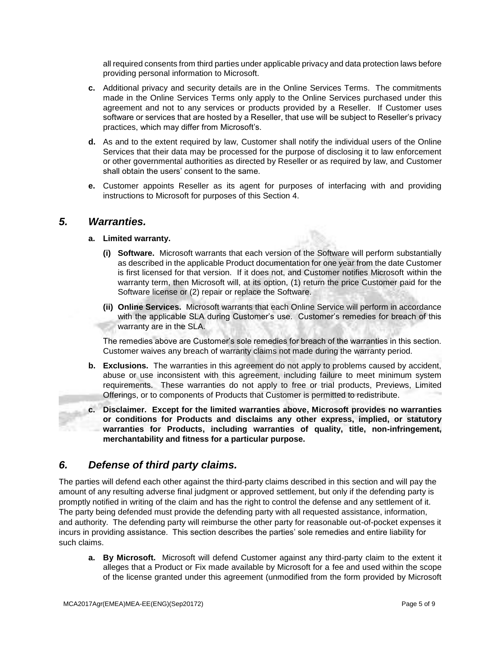all required consents from third parties under applicable privacy and data protection laws before providing personal information to Microsoft.

- **c.** Additional privacy and security details are in the Online Services Terms. The commitments made in the Online Services Terms only apply to the Online Services purchased under this agreement and not to any services or products provided by a Reseller. If Customer uses software or services that are hosted by a Reseller, that use will be subject to Reseller's privacy practices, which may differ from Microsoft's.
- **d.** As and to the extent required by law, Customer shall notify the individual users of the Online Services that their data may be processed for the purpose of disclosing it to law enforcement or other governmental authorities as directed by Reseller or as required by law, and Customer shall obtain the users' consent to the same.
- **e.** Customer appoints Reseller as its agent for purposes of interfacing with and providing instructions to Microsoft for purposes of this Section 4.

## *5. Warranties.*

## **a. Limited warranty.**

- **(i) Software.** Microsoft warrants that each version of the Software will perform substantially as described in the applicable Product documentation for one year from the date Customer is first licensed for that version. If it does not, and Customer notifies Microsoft within the warranty term, then Microsoft will, at its option, (1) return the price Customer paid for the Software license or (2) repair or replace the Software.
- **(ii) Online Services.** Microsoft warrants that each Online Service will perform in accordance with the applicable SLA during Customer's use. Customer's remedies for breach of this warranty are in the SLA.

The remedies above are Customer's sole remedies for breach of the warranties in this section. Customer waives any breach of warranty claims not made during the warranty period.

- **b. Exclusions.** The warranties in this agreement do not apply to problems caused by accident, abuse or use inconsistent with this agreement, including failure to meet minimum system requirements. These warranties do not apply to free or trial products, Previews, Limited Offerings, or to components of Products that Customer is permitted to redistribute.
- **c. Disclaimer. Except for the limited warranties above, Microsoft provides no warranties or conditions for Products and disclaims any other express, implied, or statutory warranties for Products, including warranties of quality, title, non-infringement, merchantability and fitness for a particular purpose.**

# *6. Defense of third party claims.*

The parties will defend each other against the third-party claims described in this section and will pay the amount of any resulting adverse final judgment or approved settlement, but only if the defending party is promptly notified in writing of the claim and has the right to control the defense and any settlement of it. The party being defended must provide the defending party with all requested assistance, information, and authority. The defending party will reimburse the other party for reasonable out-of-pocket expenses it incurs in providing assistance. This section describes the parties' sole remedies and entire liability for such claims.

**a. By Microsoft.** Microsoft will defend Customer against any third-party claim to the extent it alleges that a Product or Fix made available by Microsoft for a fee and used within the scope of the license granted under this agreement (unmodified from the form provided by Microsoft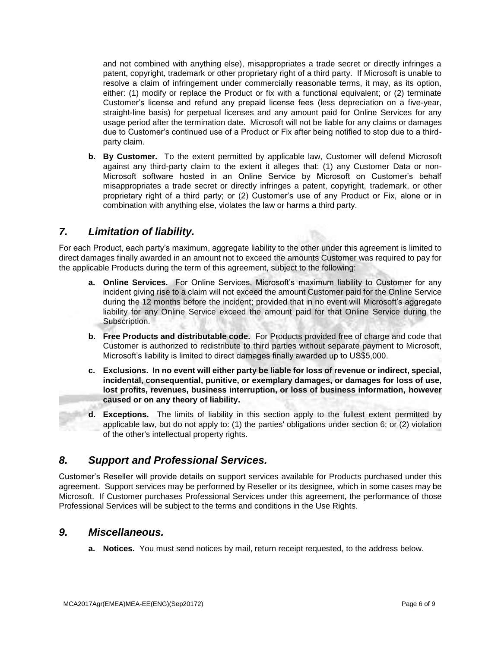and not combined with anything else), misappropriates a trade secret or directly infringes a patent, copyright, trademark or other proprietary right of a third party. If Microsoft is unable to resolve a claim of infringement under commercially reasonable terms, it may, as its option, either: (1) modify or replace the Product or fix with a functional equivalent; or (2) terminate Customer's license and refund any prepaid license fees (less depreciation on a five-year, straight-line basis) for perpetual licenses and any amount paid for Online Services for any usage period after the termination date. Microsoft will not be liable for any claims or damages due to Customer's continued use of a Product or Fix after being notified to stop due to a thirdparty claim.

**b. By Customer.** To the extent permitted by applicable law, Customer will defend Microsoft against any third-party claim to the extent it alleges that: (1) any Customer Data or non-Microsoft software hosted in an Online Service by Microsoft on Customer's behalf misappropriates a trade secret or directly infringes a patent, copyright, trademark, or other proprietary right of a third party; or (2) Customer's use of any Product or Fix, alone or in combination with anything else, violates the law or harms a third party.

# *7. Limitation of liability.*

For each Product, each party's maximum, aggregate liability to the other under this agreement is limited to direct damages finally awarded in an amount not to exceed the amounts Customer was required to pay for the applicable Products during the term of this agreement, subject to the following:

- **a. Online Services.** For Online Services, Microsoft's maximum liability to Customer for any incident giving rise to a claim will not exceed the amount Customer paid for the Online Service during the 12 months before the incident; provided that in no event will Microsoft's aggregate liability for any Online Service exceed the amount paid for that Online Service during the Subscription.
- **b. Free Products and distributable code.** For Products provided free of charge and code that Customer is authorized to redistribute to third parties without separate payment to Microsoft, Microsoft's liability is limited to direct damages finally awarded up to US\$5,000.
- **c. Exclusions. In no event will either party be liable for loss of revenue or indirect, special, incidental, consequential, punitive, or exemplary damages, or damages for loss of use, lost profits, revenues, business interruption, or loss of business information, however caused or on any theory of liability.**
- **d. Exceptions.** The limits of liability in this section apply to the fullest extent permitted by applicable law, but do not apply to: (1) the parties' obligations under section 6; or (2) violation of the other's intellectual property rights.

# *8. Support and Professional Services.*

Customer's Reseller will provide details on support services available for Products purchased under this agreement. Support services may be performed by Reseller or its designee, which in some cases may be Microsoft. If Customer purchases Professional Services under this agreement, the performance of those Professional Services will be subject to the terms and conditions in the Use Rights.

# *9. Miscellaneous.*

**a. Notices.** You must send notices by mail, return receipt requested, to the address below.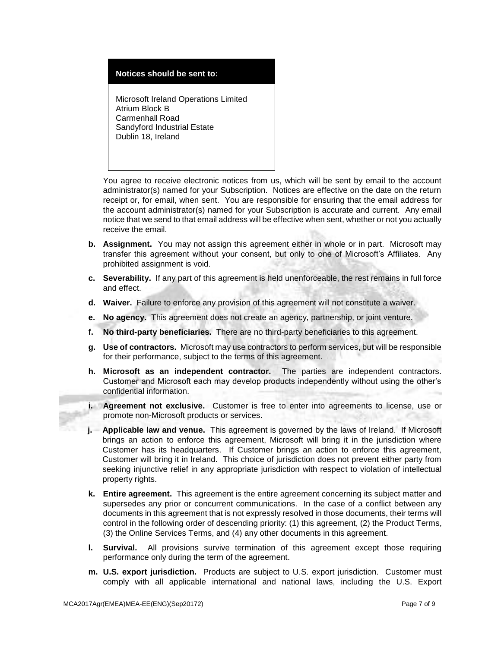### **Notices should be sent to:**

Microsoft Ireland Operations Limited Atrium Block B Carmenhall Road Sandyford Industrial Estate Dublin 18, Ireland

You agree to receive electronic notices from us, which will be sent by email to the account administrator(s) named for your Subscription. Notices are effective on the date on the return receipt or, for email, when sent. You are responsible for ensuring that the email address for the account administrator(s) named for your Subscription is accurate and current. Any email notice that we send to that email address will be effective when sent, whether or not you actually receive the email.

- **b. Assignment.** You may not assign this agreement either in whole or in part. Microsoft may transfer this agreement without your consent, but only to one of Microsoft's Affiliates. Any prohibited assignment is void.
- **c. Severability.** If any part of this agreement is held unenforceable, the rest remains in full force and effect.
- **d. Waiver.** Failure to enforce any provision of this agreement will not constitute a waiver.
- **e. No agency.** This agreement does not create an agency, partnership, or joint venture.
- **f. No third-party beneficiaries.** There are no third-party beneficiaries to this agreement.
- **g. Use of contractors.** Microsoft may use contractors to perform services, but will be responsible for their performance, subject to the terms of this agreement.
- **h. Microsoft as an independent contractor.** The parties are independent contractors. Customer and Microsoft each may develop products independently without using the other's confidential information.
- **i. Agreement not exclusive.** Customer is free to enter into agreements to license, use or promote non-Microsoft products or services.
- **j. Applicable law and venue.** This agreement is governed by the laws of Ireland. If Microsoft brings an action to enforce this agreement, Microsoft will bring it in the jurisdiction where Customer has its headquarters. If Customer brings an action to enforce this agreement, Customer will bring it in Ireland. This choice of jurisdiction does not prevent either party from seeking injunctive relief in any appropriate jurisdiction with respect to violation of intellectual property rights.
- **k. Entire agreement.** This agreement is the entire agreement concerning its subject matter and supersedes any prior or concurrent communications. In the case of a conflict between any documents in this agreement that is not expressly resolved in those documents, their terms will control in the following order of descending priority: (1) this agreement, (2) the Product Terms, (3) the Online Services Terms, and (4) any other documents in this agreement.
- **l. Survival.** All provisions survive termination of this agreement except those requiring performance only during the term of the agreement.
- **m. U.S. export jurisdiction.** Products are subject to U.S. export jurisdiction. Customer must comply with all applicable international and national laws, including the U.S. Export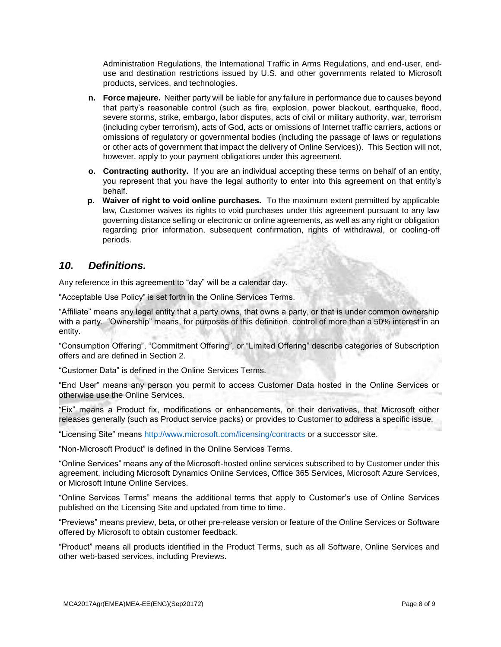Administration Regulations, the International Traffic in Arms Regulations, and end-user, enduse and destination restrictions issued by U.S. and other governments related to Microsoft products, services, and technologies.

- **n. Force majeure.** Neither party will be liable for any failure in performance due to causes beyond that party's reasonable control (such as fire, explosion, power blackout, earthquake, flood, severe storms, strike, embargo, labor disputes, acts of civil or military authority, war, terrorism (including cyber terrorism), acts of God, acts or omissions of Internet traffic carriers, actions or omissions of regulatory or governmental bodies (including the passage of laws or regulations or other acts of government that impact the delivery of Online Services)). This Section will not, however, apply to your payment obligations under this agreement.
- **o. Contracting authority.** If you are an individual accepting these terms on behalf of an entity, you represent that you have the legal authority to enter into this agreement on that entity's behalf.
- **p. Waiver of right to void online purchases.** To the maximum extent permitted by applicable law, Customer waives its rights to void purchases under this agreement pursuant to any law governing distance selling or electronic or online agreements, as well as any right or obligation regarding prior information, subsequent confirmation, rights of withdrawal, or cooling-off periods.

# *10. Definitions.*

Any reference in this agreement to "day" will be a calendar day.

"Acceptable Use Policy" is set forth in the Online Services Terms.

"Affiliate" means any legal entity that a party owns, that owns a party, or that is under common ownership with a party. "Ownership" means, for purposes of this definition, control of more than a 50% interest in an entity.

"Consumption Offering", "Commitment Offering", or "Limited Offering" describe categories of Subscription offers and are defined in Section 2.

"Customer Data" is defined in the Online Services Terms.

"End User" means any person you permit to access Customer Data hosted in the Online Services or otherwise use the Online Services.

"Fix" means a Product fix, modifications or enhancements, or their derivatives, that Microsoft either releases generally (such as Product service packs) or provides to Customer to address a specific issue.

"Licensing Site" means<http://www.microsoft.com/licensing/contracts> or a successor site.

"Non-Microsoft Product" is defined in the Online Services Terms.

"Online Services" means any of the Microsoft-hosted online services subscribed to by Customer under this agreement, including Microsoft Dynamics Online Services, Office 365 Services, Microsoft Azure Services, or Microsoft Intune Online Services.

"Online Services Terms" means the additional terms that apply to Customer's use of Online Services published on the Licensing Site and updated from time to time.

"Previews" means preview, beta, or other pre-release version or feature of the Online Services or Software offered by Microsoft to obtain customer feedback.

"Product" means all products identified in the Product Terms, such as all Software, Online Services and other web-based services, including Previews.